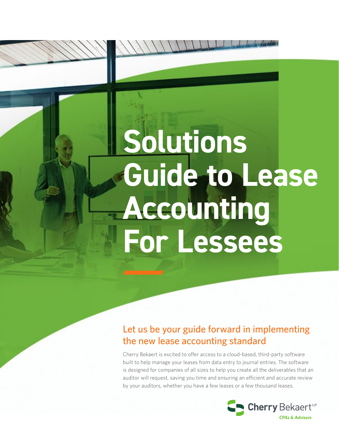# **Solutions Guide to Lease Accounting For Lessees**

## Let us be your guide forward in implementing the new lease accounting standard

Cherry Bekaert is excited to offer access to a cloud-based, third-party software built to help manage your leases from data entry to journal entries. The software is designed for companies of all sizes to help you create all the deliverables that an auditor will request, saving you time and ensuring an efficient and accurate review by your auditors, whether you have a few leases or a few thousand leases.

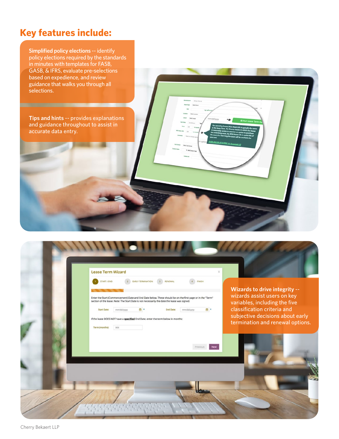### **Key features include:**

**Simplified policy elections** -- identify policy elections required by the standards in minutes with templates for FASB, GASB, & IFRS, evaluate pre-selections based on expedience, and review guidance that walks you through all selections.

**Tips and hints** -- provides explanations and guidance throughout to assist in accurate data entry.



Cherry Bekaert LLP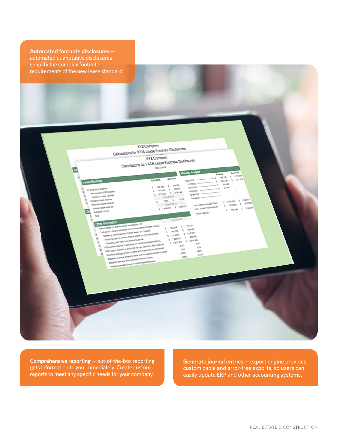**Automated footnote disclosures** - automated quantitative disclosures simplify the complex footnote requirements of the new lease standard.

> **XYZ Company** XYZ Company<br>Calculations for IFRS Lease Footnote Disclosures **XYZ Company** XYZ Company<br>Calculations for FASB Lease Footnote Disclosures 1201/2018

> > **Vatary**

onin

**Linked** 

**MA ADS** 

131,064

1212.000

**Maturity A** 

**Y3D** 

Evite trom Co.

1200

1,894,572

109.00

5 1,550,144

×,

Erist

120,514

 $295,076$ 

1,213,000 ł,

 $\mathbf{r}$ 

 $1,223,829$  $\lambda$ 

 $1.37526$ 

3.44

 $2.00$ 

4.70%

5,307

120,607  $\boldsymbol{\lambda}$ 

> 6,700  $\overline{\phantom{a}}$

> > 1,58A

 $110.15$ 

105,437

1,107.32

**VAN** 

 $4.25$ 

 $12$ 

4.53%

w

\$ 2,519.60

**Comprehensive reporting** -- out-of-the-box reporting gets information to you immediately. Create custom reports to meet any specific needs for your company.

yra leggin est

Amortanton of 9033 someti

**Junior on years prompter**<br>President on years prompter

usa legg

**NOR ENDERED** 

**LA MORFOR** 

**AMONG TRISICION, Tel. Cash paid for amounts installed in the measurement of the constructions.**<br>Clash paid for amounts included in the measurement of the constructions.<br>Clash paid for amounts included in the wages

Oberstud cesu presi polar punce answer (nr. bucche<br>RU berg pit Bucchese polar punce presen (nr. punce)<br>Dall passe ou nu

Oberating cash fores both counsely for new first<br>Eliminated cash fores both counsely texted.<br>December

Elisancing cash found from comming leases<br>Operating cash found from trance leases (i.e. principe) p<br>Digitating cash found from trance leases (i.e. trianes)<br>Digitation binouries

incan exemple opposed to excitation ps your or most ps put<br>Incan exemple opposed to excitation ps your plumps passes provided below<br>Collected case, young post obstance arrange<br>showed also

INCET sisted cleaned unioned state au to hear por location for<br>INCET sisted cleaned to a security ps view cleaning less paying<br>Climated cleaned some newspape ps view cleaning lesse paying<br>Climated clean your some

Attribute sixa shi qorosu inte pi chasqud jenes<br>Attributi asa shi qorosu inte pi chasqud jenes<br>Keliyaay asa ahi

Ablication states interested when plus means<br>Ablication states account in except to the relation consisted provide<br>INCF street consider to except the very state plus to the relation<br>ICFT street consider a security at last

Adolpasy executive classical state of reference pressure<br>Adolpasy executive interactions description and the classical pressure<br>Adolpasy executive interactions description and in the classical pressure<br>Adolpasy executive i

Vylicu jetere exteriore

**Generate journal entries** -- export engine provides customizable and error-free exports, so users can easily update ERP and other accounting systems.

 $1212$ 

 $\overline{\phantom{a}}$ **SAL140** 

 $121.55$ 

 $9.825.5$ 

 $1.7002$ 

 $1.23833$ 

424,145

**Plastade AL** 

**AND DRIVER OF** 

244,140

244,140

 $u_{MLI}$ 

 $\epsilon$  *Gayman* 

**MARK** k.